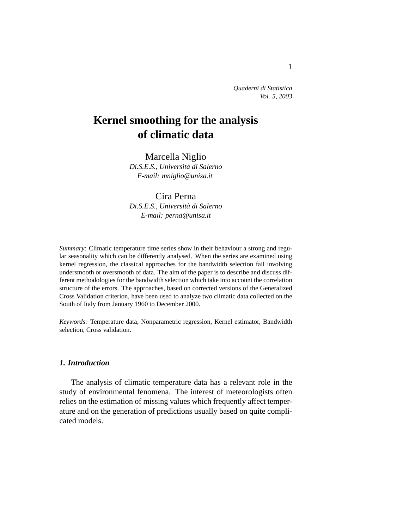*Quaderni di Statistica Vol. 5, 2003*

# **Kernel smoothing for the analysis of climatic data**

Marcella Niglio *Di.S.E.S., Universita di Salerno ` E-mail: mniglio@unisa.it*

# Cira Perna

*Di.S.E.S., Universita di Salerno ` E-mail: perna@unisa.it*

*Summary*: Climatic temperature time series show in their behaviour a strong and regular seasonality which can be differently analysed. When the series are examined using kernel regression, the classical approaches for the bandwidth selection fail involving undersmooth or oversmooth of data. The aim of the paper is to describe and discuss different methodologies for the bandwidth selection which take into account the correlation structure of the errors. The approaches, based on corrected versions of the Generalized Cross Validation criterion, have been used to analyze two climatic data collected on the South of Italy from January 1960 to December 2000.

*Keywords*: Temperature data, Nonparametric regression, Kernel estimator, Bandwidth selection, Cross validation.

## *1. Introduction*

The analysis of climatic temperature data has a relevant role in the study of environmental fenomena. The interest of meteorologists often relies on the estimation of missing values which frequently affect temperature and on the generation of predictions usually based on quite complicated models.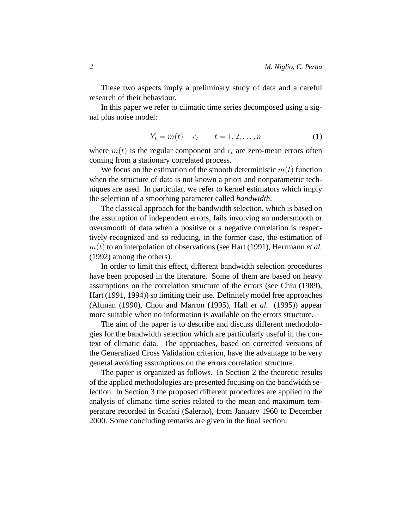These two aspects imply a preliminary study of data and a careful research of their behaviour.

In this paper we refer to climatic time series decomposed using a signal plus noise model:

$$
Y_t = m(t) + \epsilon_t \qquad t = 1, 2, \dots, n \tag{1}
$$

where  $m(t)$  is the regular component and  $\epsilon_t$  are zero-mean errors often coming from a stationary correlated process.

We focus on the estimation of the smooth deterministic  $m(t)$  function when the structure of data is not known a priori and nonparametric techniques are used. In particular, we refer to kernel estimators which imply the selection of a smoothing parameter called *bandwidth*.

The classical approach for the bandwidth selection, which is based on the assumption of independent errors, fails involving an undersmooth or oversmooth of data when a positive or a negative correlation is respectively recognized and so reducing, in the former case, the estimation of m(t) to an interpolation of observations (see Hart (1991), Herrmann *et al.* (1992) among the others).

In order to limit this effect, different bandwidth selection procedures have been proposed in the literature. Some of them are based on heavy assumptions on the correlation structure of the errors (see Chiu (1989), Hart (1991, 1994)) so limiting their use. Definitely model free approaches (Altman (1990), Chou and Marron (1995), Hall *et al.* (1995)) appear more suitable when no information is available on the errors structure.

The aim of the paper is to describe and discuss different methodologies for the bandwidth selection which are particularly useful in the context of climatic data. The approaches, based on corrected versions of the Generalized Cross Validation criterion, have the advantage to be very general avoiding assumptions on the errors correlation structure.

The paper is organized as follows. In Section 2 the theoretic results of the applied methodologies are presented focusing on the bandwidth selection. In Section 3 the proposed different procedures are applied to the analysis of climatic time series related to the mean and maximum temperature recorded in Scafati (Salerno), from January 1960 to December 2000. Some concluding remarks are given in the final section.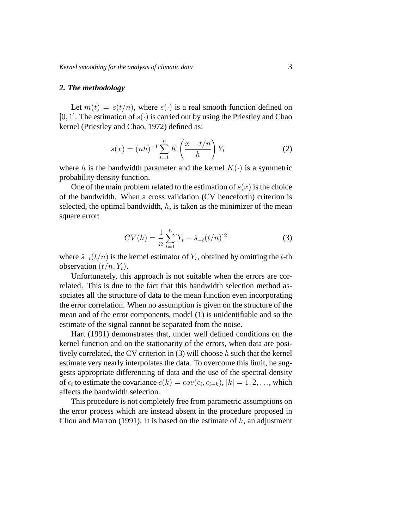#### *2. The methodology*

Let  $m(t) = s(t/n)$ , where  $s(\cdot)$  is a real smooth function defined on [0, 1]. The estimation of  $s(\cdot)$  is carried out by using the Priestley and Chao kernel (Priestley and Chao, 1972) defined as:

$$
s(x) = (nh)^{-1} \sum_{t=1}^{n} K\left(\frac{x - t/n}{h}\right) Y_t
$$
 (2)

where h is the bandwidth parameter and the kernel  $K(\cdot)$  is a symmetric probability density function.

One of the main problem related to the estimation of  $s(x)$  is the choice of the bandwidth. When a cross validation (CV henceforth) criterion is selected, the optimal bandwidth,  $h$ , is taken as the minimizer of the mean square error:

$$
CV(h) = \frac{1}{n} \sum_{t=1}^{n} [Y_t - \hat{s}_{-t}(t/n)]^2
$$
 (3)

where  $\hat{s}_{-t}(t/n)$  is the kernel estimator of  $Y_t$ , obtained by omitting the t-th observation  $(t/n, Y_t)$ .

Unfortunately, this approach is not suitable when the errors are correlated. This is due to the fact that this bandwidth selection method associates all the structure of data to the mean function even incorporating the error correlation. When no assumption is given on the structure of the mean and of the error components, model (1) is unidentifiable and so the estimate of the signal cannot be separated from the noise.

Hart (1991) demonstrates that, under well defined conditions on the kernel function and on the stationarity of the errors, when data are positively correlated, the CV criterion in  $(3)$  will choose h such that the kernel estimate very nearly interpolates the data. To overcome this limit, he suggests appropriate differencing of data and the use of the spectral density of  $\epsilon_i$  to estimate the covariance  $c(k) = cov(\epsilon_i, \epsilon_{i+k}), |k| = 1, 2, \ldots$ , which affects the bandwidth selection.

This procedure is not completely free from parametric assumptions on the error process which are instead absent in the procedure proposed in Chou and Marron (1991). It is based on the estimate of  $h$ , an adjustment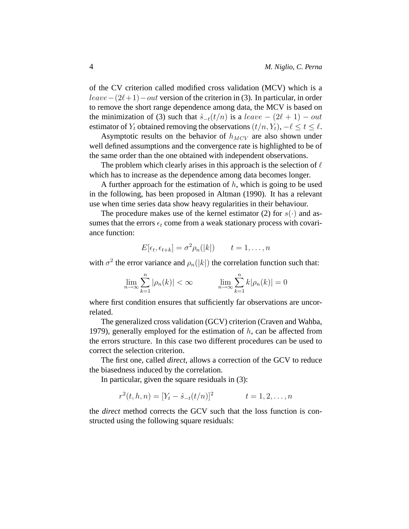of the CV criterion called modified cross validation (MCV) which is a  $leave-(2\ell+1)-out$  version of the criterion in (3). In particular, in order to remove the short range dependence among data, the MCV is based on the minimization of (3) such that  $\hat{s}_{-t}(t/n)$  is a leave  $-(2\ell + 1) - out$ estimator of  $Y_t$  obtained removing the observations  $(t/n, Y_t)$ ,  $-\ell \le t \le \ell$ .

Asymptotic results on the behavior of  $h_{MCV}$  are also shown under well defined assumptions and the convergence rate is highlighted to be of the same order than the one obtained with independent observations.

The problem which clearly arises in this approach is the selection of  $\ell$ which has to increase as the dependence among data becomes longer.

A further approach for the estimation of  $h$ , which is going to be used in the following, has been proposed in Altman (1990). It has a relevant use when time series data show heavy regularities in their behaviour.

The procedure makes use of the kernel estimator (2) for  $s(\cdot)$  and assumes that the errors  $\epsilon_t$  come from a weak stationary process with covariance function:

$$
E[\epsilon_t, \epsilon_{t+k}] = \sigma^2 \rho_n(|k|) \qquad t = 1, \dots, n
$$

with  $\sigma^2$  the error variance and  $\rho_n(|k|)$  the correlation function such that:

$$
\lim_{n \to \infty} \sum_{k=1}^{n} |\rho_n(k)| < \infty \qquad \lim_{n \to \infty} \sum_{k=1}^{n} k |\rho_n(k)| = 0
$$

where first condition ensures that sufficiently far observations are uncorrelated.

The generalized cross validation (GCV) criterion (Craven and Wahba, 1979), generally employed for the estimation of  $h$ , can be affected from the errors structure. In this case two different procedures can be used to correct the selection criterion.

The first one, called *direct*, allows a correction of the GCV to reduce the biasedness induced by the correlation.

In particular, given the square residuals in (3):

$$
r^{2}(t, h, n) = [Y_{t} - \hat{s}_{-t}(t/n)]^{2} \qquad t = 1, 2, ..., n
$$

the *direct* method corrects the GCV such that the loss function is constructed using the following square residuals: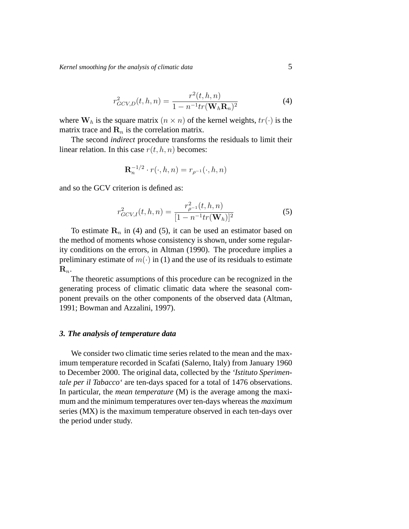*Kernel smoothing for the analysis of climatic data* 5

$$
r_{GCV,D}^{2}(t, h, n) = \frac{r^{2}(t, h, n)}{1 - n^{-1}tr(\mathbf{W}_{h}\mathbf{R}_{n})^{2}}
$$
(4)

where  $W_h$  is the square matrix  $(n \times n)$  of the kernel weights,  $tr(\cdot)$  is the matrix trace and  $\mathbf{R}_n$  is the correlation matrix.

The second *indirect* procedure transforms the residuals to limit their linear relation. In this case  $r(t, h, n)$  becomes:

$$
\mathbf{R}_n^{-1/2} \cdot r(\cdot, h, n) = r_{\rho^{-1}}(\cdot, h, n)
$$

and so the GCV criterion is defined as:

$$
r_{GCV,I}^2(t, h, n) = \frac{r_{\rho^{-1}}^2(t, h, n)}{[1 - n^{-1}tr(\mathbf{W}_h)]^2}
$$
(5)

To estimate  $\mathbf{R}_n$  in (4) and (5), it can be used an estimator based on the method of moments whose consistency is shown, under some regularity conditions on the errors, in Altman (1990). The procedure implies a preliminary estimate of  $m(\cdot)$  in (1) and the use of its residuals to estimate  $\mathbf{R}_n$ .

The theoretic assumptions of this procedure can be recognized in the generating process of climatic climatic data where the seasonal component prevails on the other components of the observed data (Altman, 1991; Bowman and Azzalini, 1997).

### *3. The analysis of temperature data*

We consider two climatic time series related to the mean and the maximum temperature recorded in Scafati (Salerno, Italy) from January 1960 to December 2000. The original data, collected by the *'Istituto Sperimentale per il Tabacco'* are ten-days spaced for a total of 1476 observations. In particular, the *mean temperature* (M) is the average among the maximum and the minimum temperatures over ten-days whereas the *maximum* series (MX) is the maximum temperature observed in each ten-days over the period under study.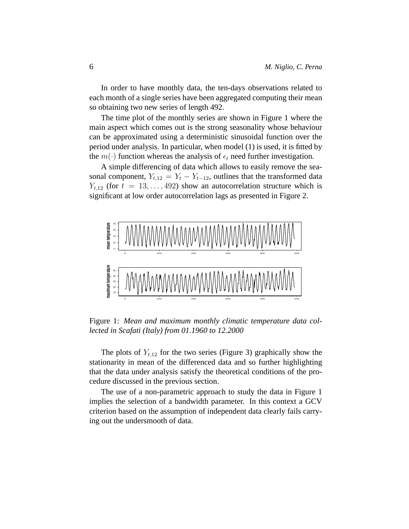In order to have monthly data, the ten-days observations related to each month of a single series have been aggregated computing their mean so obtaining two new series of length 492.

The time plot of the monthly series are shown in Figure 1 where the main aspect which comes out is the strong seasonality whose behaviour can be approximated using a deterministic sinusoidal function over the period under analysis. In particular, when model (1) is used, it is fitted by the  $m(\cdot)$  function whereas the analysis of  $\epsilon_t$  need further investigation.

A simple differencing of data which allows to easily remove the seasonal component,  $Y_{t,12} = Y_t - Y_{t-12}$ , outlines that the transformed data  $Y_{t,12}$  (for  $t = 13, \ldots, 492$ ) show an autocorrelation structure which is significant at low order autocorrelation lags as presented in Figure 2.



Figure 1: *Mean and maximum monthly climatic temperature data collected in Scafati (Italy) from 01.1960 to 12.2000*

The plots of  $Y_{t,12}$  for the two series (Figure 3) graphically show the stationarity in mean of the differenced data and so further highlighting that the data under analysis satisfy the theoretical conditions of the procedure discussed in the previous section.

The use of a non-parametric approach to study the data in Figure 1 implies the selection of a bandwidth parameter. In this context a GCV criterion based on the assumption of independent data clearly fails carrying out the undersmooth of data.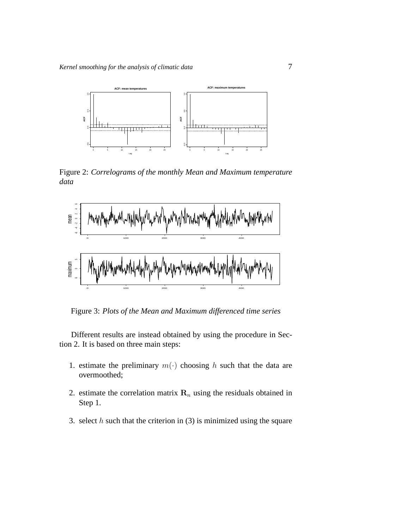

Figure 2: *Correlograms of the monthly Mean and Maximum temperature data*



Figure 3: *Plots of the Mean and Maximum differenced time series*

Different results are instead obtained by using the procedure in Section 2. It is based on three main steps:

- 1. estimate the preliminary  $m(\cdot)$  choosing h such that the data are overmoothed;
- 2. estimate the correlation matrix  $\mathbf{R}_n$  using the residuals obtained in Step 1.
- 3. select  $h$  such that the criterion in (3) is minimized using the square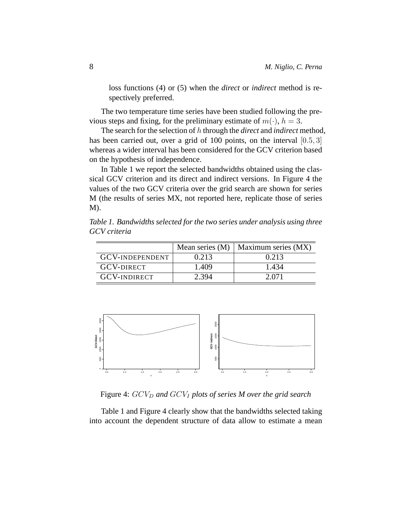loss functions (4) or (5) when the *direct* or *indirect* method is respectively preferred.

The two temperature time series have been studied following the previous steps and fixing, for the preliminary estimate of  $m(\cdot)$ ,  $h = 3$ .

The search for the selection of h through the *direct* and *indirect* method, has been carried out, over a grid of 100 points, on the interval [0.5, 3] whereas a wider interval has been considered for the GCV criterion based on the hypothesis of independence.

In Table 1 we report the selected bandwidths obtained using the classical GCV criterion and its direct and indirect versions. In Figure 4 the values of the two GCV criteria over the grid search are shown for series M (the results of series MX, not reported here, replicate those of series M).

*Table 1. Bandwidths selected for the two series under analysis using three GCV criteria*

|                        | Mean series $(M)$ | Maximum series (MX) |
|------------------------|-------------------|---------------------|
| <b>GCV-INDEPENDENT</b> | 0.213             | 0.213               |
| <b>GCV-DIRECT</b>      | 1.409             | 1.434               |
| <b>GCV-INDIRECT</b>    | 2.394             | 2.071               |



Figure 4:  $GCV<sub>D</sub>$  and  $GCV<sub>I</sub>$  plots of series M over the grid search

Table 1 and Figure 4 clearly show that the bandwidths selected taking into account the dependent structure of data allow to estimate a mean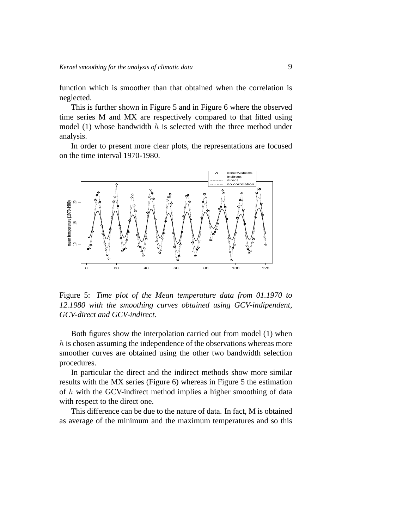function which is smoother than that obtained when the correlation is neglected.

This is further shown in Figure 5 and in Figure 6 where the observed time series M and MX are respectively compared to that fitted using model (1) whose bandwidth  $h$  is selected with the three method under analysis.

In order to present more clear plots, the representations are focused on the time interval 1970-1980.



Figure 5: *Time plot of the Mean temperature data from 01.1970 to 12.1980 with the smoothing curves obtained using GCV-indipendent, GCV-direct and GCV-indirect.*

Both figures show the interpolation carried out from model (1) when h is chosen assuming the independence of the observations whereas more smoother curves are obtained using the other two bandwidth selection procedures.

In particular the direct and the indirect methods show more similar results with the MX series (Figure 6) whereas in Figure 5 the estimation of h with the GCV-indirect method implies a higher smoothing of data with respect to the direct one.

This difference can be due to the nature of data. In fact, M is obtained as average of the minimum and the maximum temperatures and so this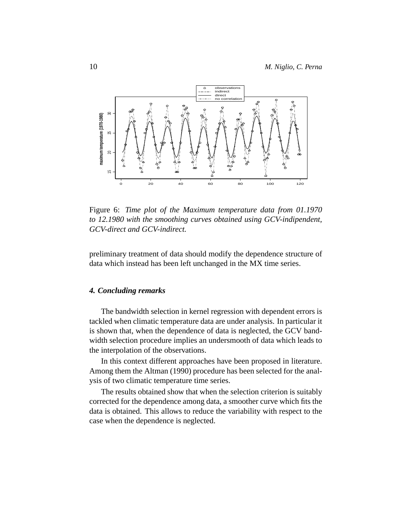

Figure 6: *Time plot of the Maximum temperature data from 01.1970 to 12.1980 with the smoothing curves obtained using GCV-indipendent, GCV-direct and GCV-indirect.*

preliminary treatment of data should modify the dependence structure of data which instead has been left unchanged in the MX time series.

## *4. Concluding remarks*

The bandwidth selection in kernel regression with dependent errors is tackled when climatic temperature data are under analysis. In particular it is shown that, when the dependence of data is neglected, the GCV bandwidth selection procedure implies an undersmooth of data which leads to the interpolation of the observations.

In this context different approaches have been proposed in literature. Among them the Altman (1990) procedure has been selected for the analysis of two climatic temperature time series.

The results obtained show that when the selection criterion is suitably corrected for the dependence among data, a smoother curve which fits the data is obtained. This allows to reduce the variability with respect to the case when the dependence is neglected.